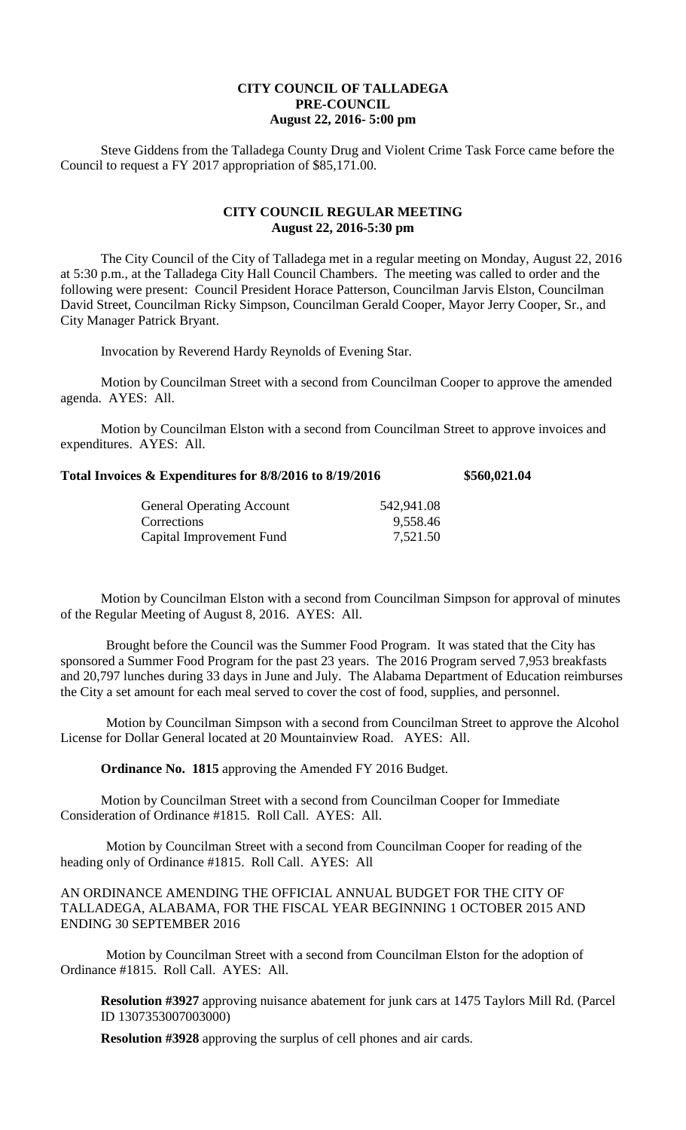## **CITY COUNCIL OF TALLADEGA PRE-COUNCIL August 22, 2016- 5:00 pm**

Steve Giddens from the Talladega County Drug and Violent Crime Task Force came before the Council to request a FY 2017 appropriation of \$85,171.00.

## **CITY COUNCIL REGULAR MEETING August 22, 2016-5:30 pm**

The City Council of the City of Talladega met in a regular meeting on Monday, August 22, 2016 at 5:30 p.m., at the Talladega City Hall Council Chambers. The meeting was called to order and the following were present: Council President Horace Patterson, Councilman Jarvis Elston, Councilman David Street, Councilman Ricky Simpson, Councilman Gerald Cooper, Mayor Jerry Cooper, Sr., and City Manager Patrick Bryant.

Invocation by Reverend Hardy Reynolds of Evening Star.

Motion by Councilman Street with a second from Councilman Cooper to approve the amended agenda. AYES: All.

Motion by Councilman Elston with a second from Councilman Street to approve invoices and expenditures. AYES: All.

| Total Invoices & Expenditures for 8/8/2016 to 8/19/2016 | \$560,021.04 |
|---------------------------------------------------------|--------------|
|---------------------------------------------------------|--------------|

| <b>General Operating Account</b> | 542,941.08 |
|----------------------------------|------------|
| Corrections                      | 9,558.46   |
| Capital Improvement Fund         | 7,521.50   |

Motion by Councilman Elston with a second from Councilman Simpson for approval of minutes of the Regular Meeting of August 8, 2016. AYES: All.

Brought before the Council was the Summer Food Program. It was stated that the City has sponsored a Summer Food Program for the past 23 years. The 2016 Program served 7,953 breakfasts and 20,797 lunches during 33 days in June and July. The Alabama Department of Education reimburses the City a set amount for each meal served to cover the cost of food, supplies, and personnel.

Motion by Councilman Simpson with a second from Councilman Street to approve the Alcohol License for Dollar General located at 20 Mountainview Road. AYES: All.

**Ordinance No. 1815** approving the Amended FY 2016 Budget.

Motion by Councilman Street with a second from Councilman Cooper for Immediate Consideration of Ordinance #1815. Roll Call. AYES: All.

Motion by Councilman Street with a second from Councilman Cooper for reading of the heading only of Ordinance #1815. Roll Call. AYES: All

AN ORDINANCE AMENDING THE OFFICIAL ANNUAL BUDGET FOR THE CITY OF TALLADEGA, ALABAMA, FOR THE FISCAL YEAR BEGINNING 1 OCTOBER 2015 AND ENDING 30 SEPTEMBER 2016

Motion by Councilman Street with a second from Councilman Elston for the adoption of Ordinance #1815. Roll Call. AYES: All.

**Resolution #3927** approving nuisance abatement for junk cars at 1475 Taylors Mill Rd. (Parcel ID 1307353007003000)

**Resolution #3928** approving the surplus of cell phones and air cards.